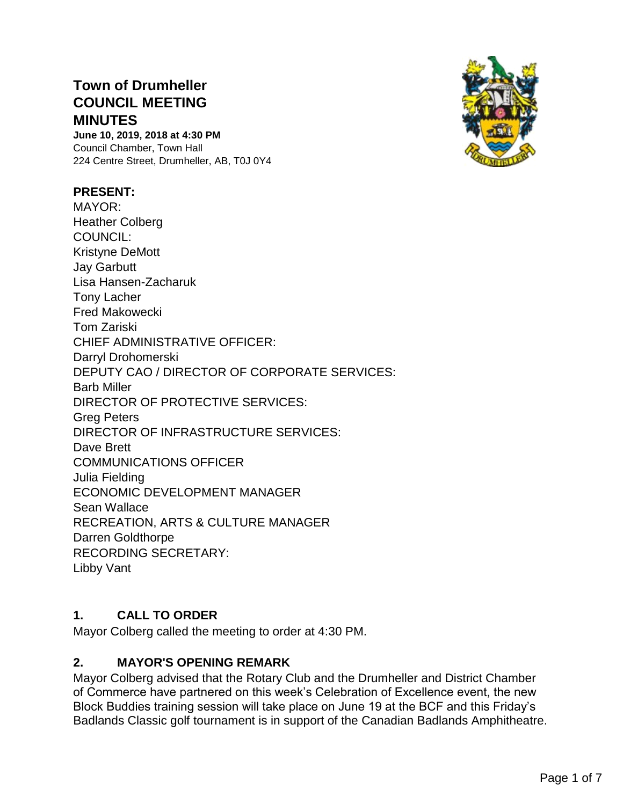# **Town of Drumheller COUNCIL MEETING MINUTES**

**June 10, 2019, 2018 at 4:30 PM** Council Chamber, Town Hall 224 Centre Street, Drumheller, AB, T0J 0Y4

#### **PRESENT:**

MAYOR: Heather Colberg COUNCIL: Kristyne DeMott Jay Garbutt Lisa Hansen-Zacharuk Tony Lacher Fred Makowecki Tom Zariski CHIEF ADMINISTRATIVE OFFICER: Darryl Drohomerski DEPUTY CAO / DIRECTOR OF CORPORATE SERVICES: Barb Miller DIRECTOR OF PROTECTIVE SERVICES: Greg Peters DIRECTOR OF INFRASTRUCTURE SERVICES: Dave Brett COMMUNICATIONS OFFICER Julia Fielding ECONOMIC DEVELOPMENT MANAGER Sean Wallace RECREATION, ARTS & CULTURE MANAGER Darren Goldthorpe RECORDING SECRETARY: Libby Vant

#### **1. CALL TO ORDER**

Mayor Colberg called the meeting to order at 4:30 PM.

#### **2. MAYOR'S OPENING REMARK**

Mayor Colberg advised that the Rotary Club and the Drumheller and District Chamber of Commerce have partnered on this week's Celebration of Excellence event, the new Block Buddies training session will take place on June 19 at the BCF and this Friday's Badlands Classic golf tournament is in support of the Canadian Badlands Amphitheatre.

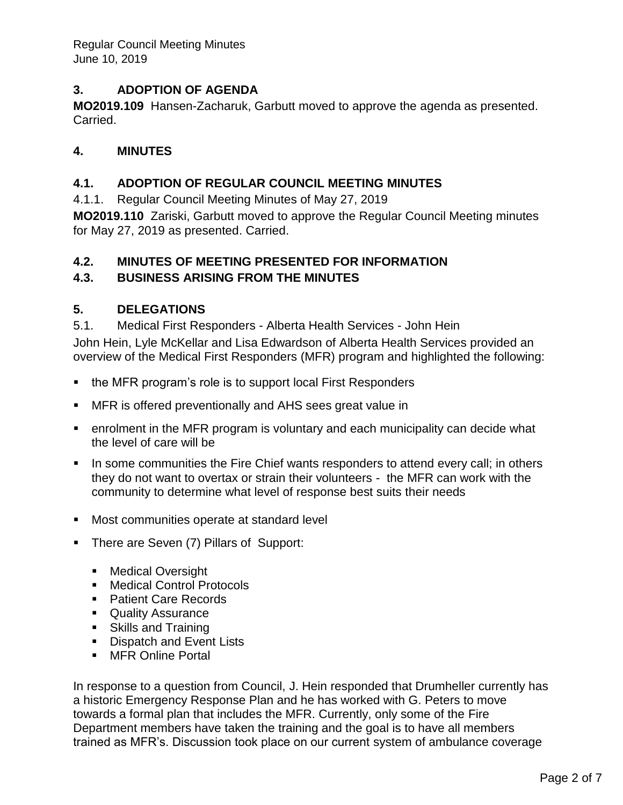## **3. ADOPTION OF AGENDA**

**MO2019.109** Hansen-Zacharuk, Garbutt moved to approve the agenda as presented. Carried.

### **4. MINUTES**

#### **4.1. ADOPTION OF REGULAR COUNCIL MEETING MINUTES**

4.1.1. Regular Council Meeting Minutes of May 27, 2019

**MO2019.110** Zariski, Garbutt moved to approve the Regular Council Meeting minutes for May 27, 2019 as presented. Carried.

### **4.2. MINUTES OF MEETING PRESENTED FOR INFORMATION**

### **4.3. BUSINESS ARISING FROM THE MINUTES**

#### **5. DELEGATIONS**

5.1. Medical First Responders - Alberta Health Services - John Hein John Hein, Lyle McKellar and Lisa Edwardson of Alberta Health Services provided an overview of the Medical First Responders (MFR) program and highlighted the following:

- the MFR program's role is to support local First Responders
- **E** MFR is offered preventionally and AHS sees great value in
- enrolment in the MFR program is voluntary and each municipality can decide what the level of care will be
- **•** In some communities the Fire Chief wants responders to attend every call; in others they do not want to overtax or strain their volunteers - the MFR can work with the community to determine what level of response best suits their needs
- Most communities operate at standard level
- **There are Seven (7) Pillars of Support:** 
	- Medical Oversight
	- Medical Control Protocols
	- Patient Care Records
	- Quality Assurance
	- Skills and Training
	- **Dispatch and Event Lists**
	- MFR Online Portal

In response to a question from Council, J. Hein responded that Drumheller currently has a historic Emergency Response Plan and he has worked with G. Peters to move towards a formal plan that includes the MFR. Currently, only some of the Fire Department members have taken the training and the goal is to have all members trained as MFR's. Discussion took place on our current system of ambulance coverage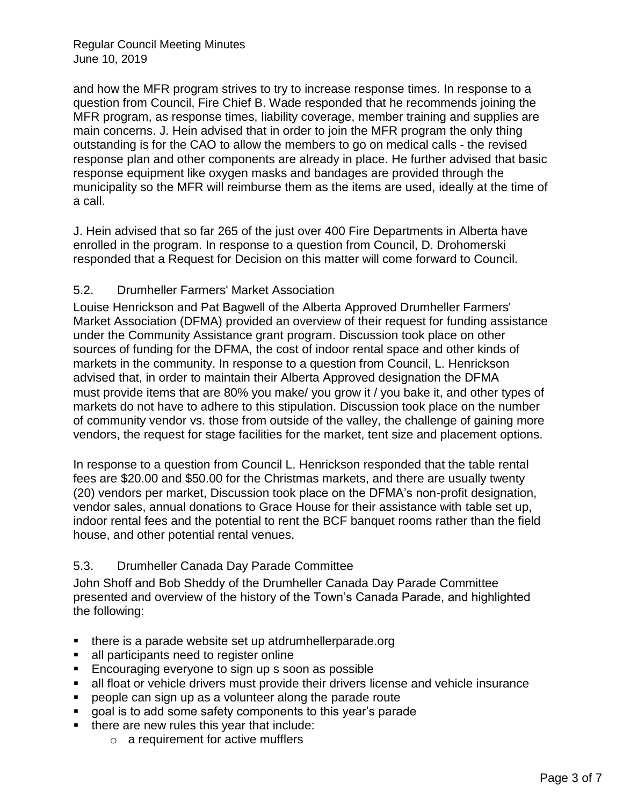and how the MFR program strives to try to increase response times. In response to a question from Council, Fire Chief B. Wade responded that he recommends joining the MFR program, as response times, liability coverage, member training and supplies are main concerns. J. Hein advised that in order to join the MFR program the only thing outstanding is for the CAO to allow the members to go on medical calls - the revised response plan and other components are already in place. He further advised that basic response equipment like oxygen masks and bandages are provided through the municipality so the MFR will reimburse them as the items are used, ideally at the time of a call.

J. Hein advised that so far 265 of the just over 400 Fire Departments in Alberta have enrolled in the program. In response to a question from Council, D. Drohomerski responded that a Request for Decision on this matter will come forward to Council.

#### 5.2. Drumheller Farmers' Market Association

Louise Henrickson and Pat Bagwell of the Alberta Approved Drumheller Farmers' Market Association (DFMA) provided an overview of their request for funding assistance under the Community Assistance grant program. Discussion took place on other sources of funding for the DFMA, the cost of indoor rental space and other kinds of markets in the community. In response to a question from Council, L. Henrickson advised that, in order to maintain their Alberta Approved designation the DFMA must provide items that are 80% you make/ you grow it / you bake it, and other types of markets do not have to adhere to this stipulation. Discussion took place on the number of community vendor vs. those from outside of the valley, the challenge of gaining more vendors, the request for stage facilities for the market, tent size and placement options.

In response to a question from Council L. Henrickson responded that the table rental fees are \$20.00 and \$50.00 for the Christmas markets, and there are usually twenty (20) vendors per market, Discussion took place on the DFMA's non-profit designation, vendor sales, annual donations to Grace House for their assistance with table set up, indoor rental fees and the potential to rent the BCF banquet rooms rather than the field house, and other potential rental venues.

### 5.3. Drumheller Canada Day Parade Committee

John Shoff and Bob Sheddy of the Drumheller Canada Day Parade Committee presented and overview of the history of the Town's Canada Parade, and highlighted the following:

- there is a parade website set up atdrumheller parade.org
- all participants need to register online
- Encouraging everyone to sign up s soon as possible
- all float or vehicle drivers must provide their drivers license and vehicle insurance
- people can sign up as a volunteer along the parade route
- goal is to add some safety components to this year's parade
- there are new rules this year that include:
	- o a requirement for active mufflers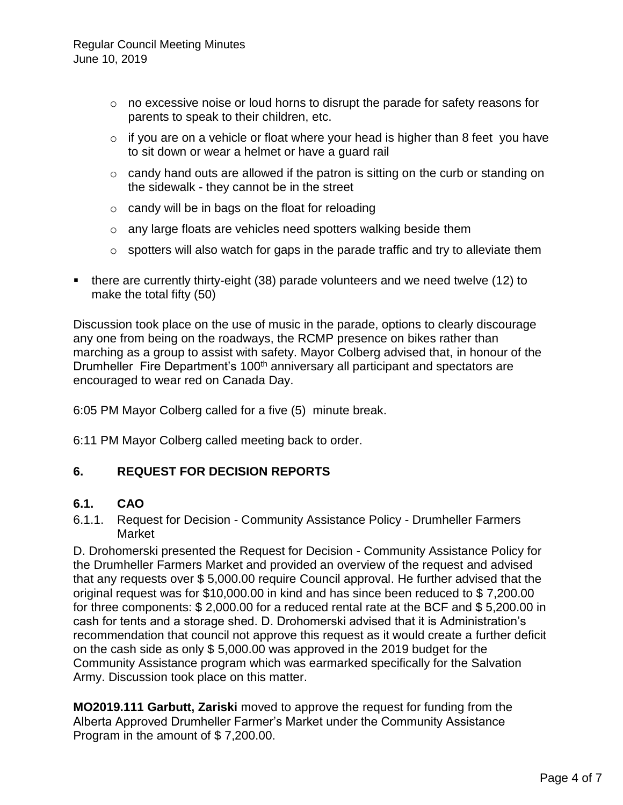- o no excessive noise or loud horns to disrupt the parade for safety reasons for parents to speak to their children, etc.
- $\circ$  if you are on a vehicle or float where your head is higher than 8 feet you have to sit down or wear a helmet or have a guard rail
- o candy hand outs are allowed if the patron is sitting on the curb or standing on the sidewalk - they cannot be in the street
- $\circ$  candy will be in bags on the float for reloading
- o any large floats are vehicles need spotters walking beside them
- $\circ$  spotters will also watch for gaps in the parade traffic and try to alleviate them
- there are currently thirty-eight (38) parade volunteers and we need twelve (12) to make the total fifty (50)

Discussion took place on the use of music in the parade, options to clearly discourage any one from being on the roadways, the RCMP presence on bikes rather than marching as a group to assist with safety. Mayor Colberg advised that, in honour of the Drumheller Fire Department's 100<sup>th</sup> anniversary all participant and spectators are encouraged to wear red on Canada Day.

6:05 PM Mayor Colberg called for a five (5) minute break.

6:11 PM Mayor Colberg called meeting back to order.

### **6. REQUEST FOR DECISION REPORTS**

### **6.1. CAO**

6.1.1. Request for Decision - Community Assistance Policy - Drumheller Farmers Market

D. Drohomerski presented the Request for Decision - Community Assistance Policy for the Drumheller Farmers Market and provided an overview of the request and advised that any requests over \$ 5,000.00 require Council approval. He further advised that the original request was for \$10,000.00 in kind and has since been reduced to \$ 7,200.00 for three components: \$ 2,000.00 for a reduced rental rate at the BCF and \$ 5,200.00 in cash for tents and a storage shed. D. Drohomerski advised that it is Administration's recommendation that council not approve this request as it would create a further deficit on the cash side as only \$ 5,000.00 was approved in the 2019 budget for the Community Assistance program which was earmarked specifically for the Salvation Army. Discussion took place on this matter.

**MO2019.111 Garbutt, Zariski** moved to approve the request for funding from the Alberta Approved Drumheller Farmer's Market under the Community Assistance Program in the amount of \$ 7,200.00.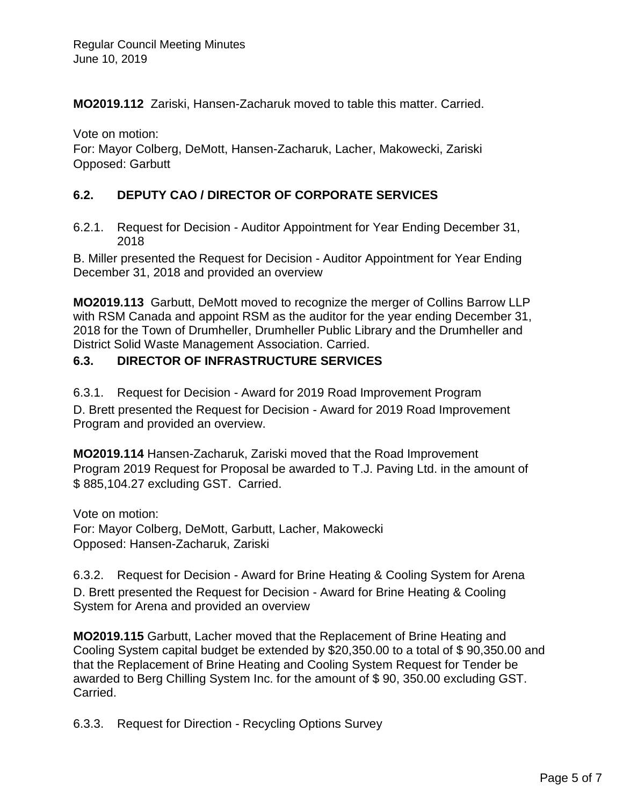**MO2019.112** Zariski, Hansen-Zacharuk moved to table this matter. Carried.

Vote on motion: For: Mayor Colberg, DeMott, Hansen-Zacharuk, Lacher, Makowecki, Zariski Opposed: Garbutt

# **6.2. DEPUTY CAO / DIRECTOR OF CORPORATE SERVICES**

6.2.1. Request for Decision - Auditor Appointment for Year Ending December 31, 2018

B. Miller presented the Request for Decision - Auditor Appointment for Year Ending December 31, 2018 and provided an overview

**MO2019.113** Garbutt, DeMott moved to recognize the merger of Collins Barrow LLP with RSM Canada and appoint RSM as the auditor for the year ending December 31, 2018 for the Town of Drumheller, Drumheller Public Library and the Drumheller and District Solid Waste Management Association. Carried.

# **6.3. DIRECTOR OF INFRASTRUCTURE SERVICES**

6.3.1. Request for Decision - Award for 2019 Road Improvement Program D. Brett presented the Request for Decision - Award for 2019 Road Improvement Program and provided an overview.

**MO2019.114** Hansen-Zacharuk, Zariski moved that the Road Improvement Program 2019 Request for Proposal be awarded to T.J. Paving Ltd. in the amount of \$ 885,104.27 excluding GST. Carried.

Vote on motion: For: Mayor Colberg, DeMott, Garbutt, Lacher, Makowecki Opposed: Hansen-Zacharuk, Zariski

6.3.2. Request for Decision - Award for Brine Heating & Cooling System for Arena D. Brett presented the Request for Decision - Award for Brine Heating & Cooling System for Arena and provided an overview

**MO2019.115** Garbutt, Lacher moved that the Replacement of Brine Heating and Cooling System capital budget be extended by \$20,350.00 to a total of \$ 90,350.00 and that the Replacement of Brine Heating and Cooling System Request for Tender be awarded to Berg Chilling System Inc. for the amount of \$ 90, 350.00 excluding GST. Carried.

6.3.3. Request for Direction - Recycling Options Survey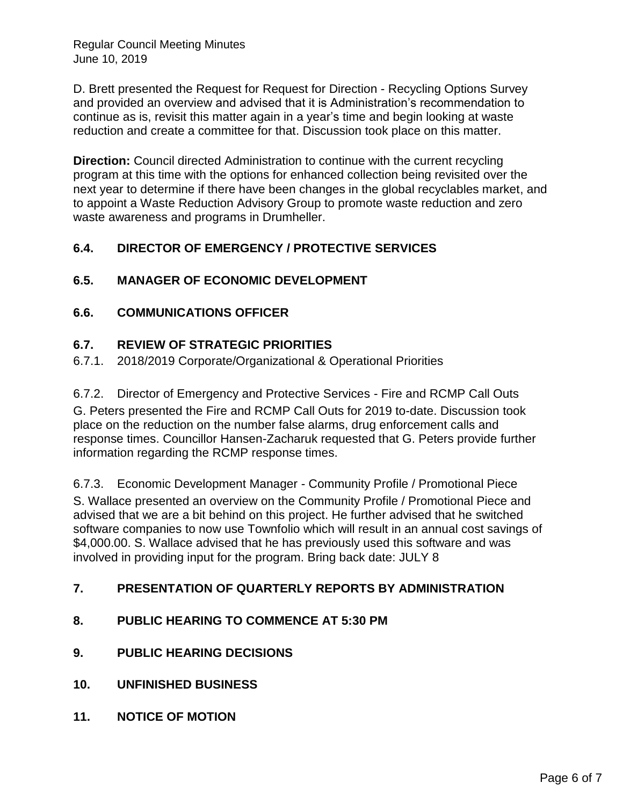D. Brett presented the Request for Request for Direction - Recycling Options Survey and provided an overview and advised that it is Administration's recommendation to continue as is, revisit this matter again in a year's time and begin looking at waste reduction and create a committee for that. Discussion took place on this matter.

**Direction:** Council directed Administration to continue with the current recycling program at this time with the options for enhanced collection being revisited over the next year to determine if there have been changes in the global recyclables market, and to appoint a Waste Reduction Advisory Group to promote waste reduction and zero waste awareness and programs in Drumheller.

# **6.4. DIRECTOR OF EMERGENCY / PROTECTIVE SERVICES**

### **6.5. MANAGER OF ECONOMIC DEVELOPMENT**

### **6.6. COMMUNICATIONS OFFICER**

#### **6.7. REVIEW OF STRATEGIC PRIORITIES**

6.7.1. 2018/2019 Corporate/Organizational & Operational Priorities

6.7.2. Director of Emergency and Protective Services - Fire and RCMP Call Outs G. Peters presented the Fire and RCMP Call Outs for 2019 to-date. Discussion took place on the reduction on the number false alarms, drug enforcement calls and response times. Councillor Hansen-Zacharuk requested that G. Peters provide further information regarding the RCMP response times.

6.7.3. Economic Development Manager - Community Profile / Promotional Piece S. Wallace presented an overview on the Community Profile / Promotional Piece and advised that we are a bit behind on this project. He further advised that he switched software companies to now use Townfolio which will result in an annual cost savings of \$4,000.00. S. Wallace advised that he has previously used this software and was involved in providing input for the program. Bring back date: JULY 8

### **7. PRESENTATION OF QUARTERLY REPORTS BY ADMINISTRATION**

- **8. PUBLIC HEARING TO COMMENCE AT 5:30 PM**
- **9. PUBLIC HEARING DECISIONS**
- **10. UNFINISHED BUSINESS**
- **11. NOTICE OF MOTION**